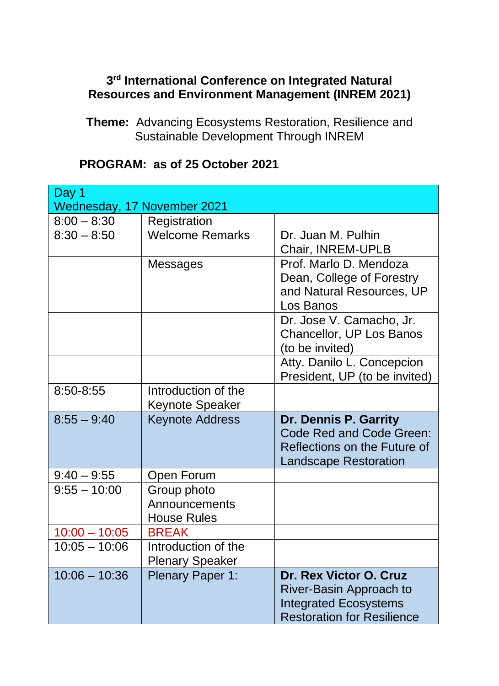## **3 rd International Conference on Integrated Natural Resources and Environment Management (INREM 2021)**

**Theme:** Advancing Ecosystems Restoration, Resilience and Sustainable Development Through INREM

| Day 1                       |                        |                                   |
|-----------------------------|------------------------|-----------------------------------|
| Wednesday, 17 November 2021 |                        |                                   |
| $8:00 - 8:30$               | Registration           |                                   |
| $8:30 - 8:50$               | <b>Welcome Remarks</b> | Dr. Juan M. Pulhin                |
|                             |                        | Chair, INREM-UPLB                 |
|                             | Messages               | Prof. Marlo D. Mendoza            |
|                             |                        | Dean, College of Forestry         |
|                             |                        | and Natural Resources, UP         |
|                             |                        | Los Banos                         |
|                             |                        | Dr. Jose V. Camacho, Jr.          |
|                             |                        | Chancellor, UP Los Banos          |
|                             |                        | (to be invited)                   |
|                             |                        | Atty. Danilo L. Concepcion        |
|                             |                        | President, UP (to be invited)     |
| 8:50-8:55                   | Introduction of the    |                                   |
|                             | Keynote Speaker        |                                   |
| $8:55 - 9:40$               | <b>Keynote Address</b> | Dr. Dennis P. Garrity             |
|                             |                        | Code Red and Code Green:          |
|                             |                        | Reflections on the Future of      |
|                             |                        | <b>Landscape Restoration</b>      |
| $9:40 - 9:55$               | Open Forum             |                                   |
| $9:55 - 10:00$              | Group photo            |                                   |
|                             | Announcements          |                                   |
|                             | <b>House Rules</b>     |                                   |
| $10:00 - 10:05$             | <b>BREAK</b>           |                                   |
| $10:05 - 10:06$             | Introduction of the    |                                   |
|                             | <b>Plenary Speaker</b> |                                   |
| $10:06 - 10:36$             | Plenary Paper 1:       | Dr. Rex Victor O. Cruz            |
|                             |                        | River-Basin Approach to           |
|                             |                        | <b>Integrated Ecosystems</b>      |
|                             |                        | <b>Restoration for Resilience</b> |

## **PROGRAM: as of 25 October 2021**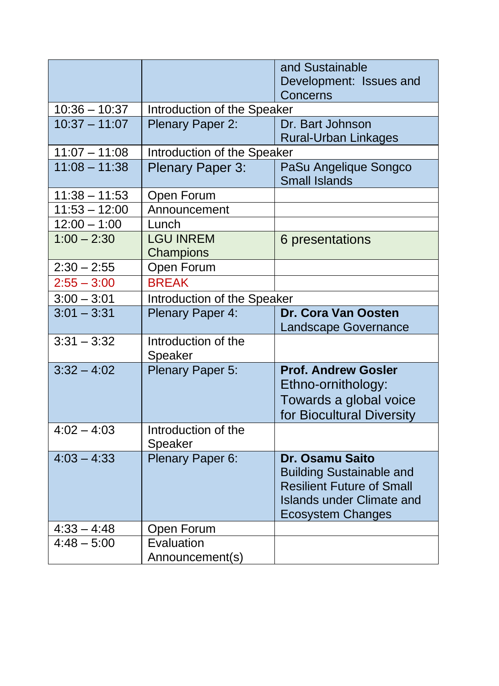|                 |                             | and Sustainable                               |  |
|-----------------|-----------------------------|-----------------------------------------------|--|
|                 |                             | Development: Issues and                       |  |
|                 |                             | Concerns                                      |  |
| $10:36 - 10:37$ |                             | Introduction of the Speaker                   |  |
| $10:37 - 11:07$ | Plenary Paper 2:            | Dr. Bart Johnson                              |  |
|                 |                             | <b>Rural-Urban Linkages</b>                   |  |
| $11:07 - 11:08$ | Introduction of the Speaker |                                               |  |
| $11:08 - 11:38$ | <b>Plenary Paper 3:</b>     | PaSu Angelique Songco<br><b>Small Islands</b> |  |
| $11:38 - 11:53$ | Open Forum                  |                                               |  |
| $11:53 - 12:00$ | Announcement                |                                               |  |
| $12:00 - 1:00$  | Lunch                       |                                               |  |
| $1:00 - 2:30$   | <b>LGU INREM</b>            | 6 presentations                               |  |
|                 | Champions                   |                                               |  |
| $2:30 - 2:55$   | Open Forum                  |                                               |  |
| $2:55 - 3:00$   | <b>BREAK</b>                |                                               |  |
| $3:00 - 3:01$   | Introduction of the Speaker |                                               |  |
| $3:01 - 3:31$   | Plenary Paper 4:            | Dr. Cora Van Oosten                           |  |
|                 |                             | <b>Landscape Governance</b>                   |  |
| $3:31 - 3:32$   | Introduction of the         |                                               |  |
|                 | Speaker                     |                                               |  |
| $3:32 - 4:02$   | Plenary Paper 5:            | <b>Prof. Andrew Gosler</b>                    |  |
|                 |                             | Ethno-ornithology:                            |  |
|                 |                             | Towards a global voice                        |  |
|                 |                             | for Biocultural Diversity                     |  |
| $4:02 - 4:03$   | Introduction of the         |                                               |  |
|                 | Speaker                     |                                               |  |
| $4:03 - 4:33$   | Plenary Paper 6:            | Dr. Osamu Saito                               |  |
|                 |                             | <b>Building Sustainable and</b>               |  |
|                 |                             | <b>Resilient Future of Small</b>              |  |
|                 |                             | <b>Islands under Climate and</b>              |  |
|                 |                             | <b>Ecosystem Changes</b>                      |  |
| $4:33 - 4:48$   | Open Forum                  |                                               |  |
| $4:48 - 5:00$   | Evaluation                  |                                               |  |
|                 | Announcement(s)             |                                               |  |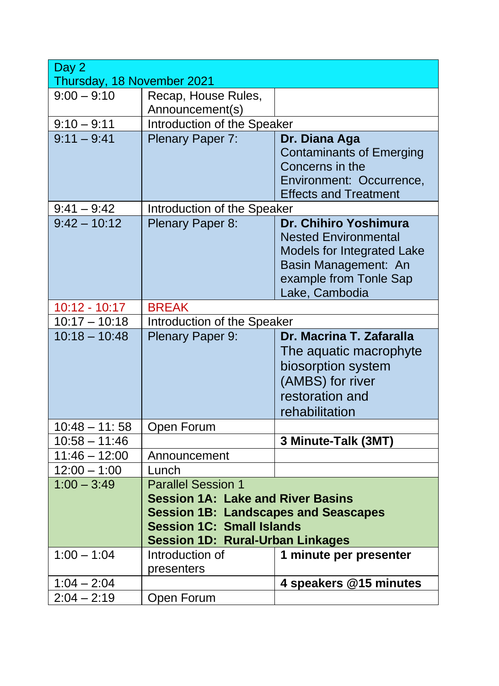| Day 2                      |                                             |                                 |
|----------------------------|---------------------------------------------|---------------------------------|
| Thursday, 18 November 2021 |                                             |                                 |
| $9:00 - 9:10$              | Recap, House Rules,                         |                                 |
|                            | Announcement(s)                             |                                 |
| $9:10 - 9:11$              | Introduction of the Speaker                 |                                 |
| $9:11 - 9:41$              | Plenary Paper 7:                            | Dr. Diana Aga                   |
|                            |                                             | <b>Contaminants of Emerging</b> |
|                            |                                             | Concerns in the                 |
|                            |                                             | Environment: Occurrence,        |
|                            |                                             | <b>Effects and Treatment</b>    |
| $9:41 - 9:42$              | Introduction of the Speaker                 |                                 |
| $9:42 - 10:12$             | Plenary Paper 8:                            | Dr. Chihiro Yoshimura           |
|                            |                                             | <b>Nested Environmental</b>     |
|                            |                                             | Models for Integrated Lake      |
|                            |                                             | Basin Management: An            |
|                            |                                             | example from Tonle Sap          |
|                            |                                             | Lake, Cambodia                  |
| 10:12 - 10:17              | <b>BREAK</b>                                |                                 |
| $10:17 - 10:18$            | Introduction of the Speaker                 |                                 |
| $10:18 - 10:48$            | Plenary Paper 9:                            | Dr. Macrina T. Zafaralla        |
|                            |                                             | The aquatic macrophyte          |
|                            |                                             | biosorption system              |
|                            |                                             | (AMBS) for river                |
|                            |                                             | restoration and                 |
|                            |                                             | rehabilitation                  |
| $10:48 - 11:58$            | Open Forum                                  |                                 |
| $10:58 - 11:46$            |                                             | 3 Minute-Talk (3MT)             |
| $11:46 - 12:00$            | Announcement                                |                                 |
| $12:00 - 1:00$             | Lunch                                       |                                 |
| $1:00 - 3:49$              | <b>Parallel Session 1</b>                   |                                 |
|                            | <b>Session 1A: Lake and River Basins</b>    |                                 |
|                            | <b>Session 1B: Landscapes and Seascapes</b> |                                 |
|                            | <b>Session 1C: Small Islands</b>            |                                 |
|                            | <b>Session 1D: Rural-Urban Linkages</b>     |                                 |
| $1:00 - 1:04$              | Introduction of                             | 1 minute per presenter          |
|                            | presenters                                  |                                 |
| $1:04 - 2:04$              |                                             | 4 speakers @15 minutes          |
| $2:04 - 2:19$              | Open Forum                                  |                                 |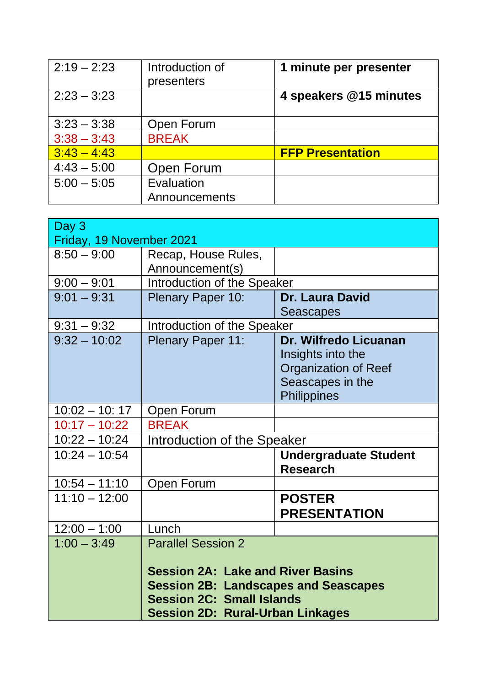| $2:19 - 2:23$ | Introduction of<br>presenters | 1 minute per presenter  |
|---------------|-------------------------------|-------------------------|
| $2:23 - 3:23$ |                               | 4 speakers @15 minutes  |
| $3:23 - 3:38$ | Open Forum                    |                         |
| $3:38 - 3:43$ | <b>BREAK</b>                  |                         |
| $3:43 - 4:43$ |                               | <b>FFP Presentation</b> |
| $4:43 - 5:00$ | Open Forum                    |                         |
| $5:00 - 5:05$ | Evaluation                    |                         |
|               | Announcements                 |                         |

| Day 3                    |                                             |                              |
|--------------------------|---------------------------------------------|------------------------------|
| Friday, 19 November 2021 |                                             |                              |
| $8:50 - 9:00$            | Recap, House Rules,                         |                              |
|                          | Announcement(s)                             |                              |
| $9:00 - 9:01$            | Introduction of the Speaker                 |                              |
| $9:01 - 9:31$            | Plenary Paper 10:                           | <b>Dr. Laura David</b>       |
|                          |                                             | <b>Seascapes</b>             |
| $9:31 - 9:32$            | Introduction of the Speaker                 |                              |
| $9:32 - 10:02$           | <b>Plenary Paper 11:</b>                    | Dr. Wilfredo Licuanan        |
|                          |                                             | Insights into the            |
|                          |                                             | <b>Organization of Reef</b>  |
|                          |                                             | Seascapes in the             |
|                          |                                             | Philippines                  |
| $10:02 - 10:17$          | Open Forum                                  |                              |
| $10:17 - 10:22$          | <b>BREAK</b>                                |                              |
| $10:22 - 10:24$          | Introduction of the Speaker                 |                              |
| $10:24 - 10:54$          |                                             | <b>Undergraduate Student</b> |
|                          |                                             | <b>Research</b>              |
| $10:54 - 11:10$          | Open Forum                                  |                              |
| $11:10 - 12:00$          |                                             | <b>POSTER</b>                |
|                          |                                             | <b>PRESENTATION</b>          |
| $12:00 - 1:00$           | Lunch                                       |                              |
| $1:00 - 3:49$            | <b>Parallel Session 2</b>                   |                              |
|                          |                                             |                              |
|                          | <b>Session 2A: Lake and River Basins</b>    |                              |
|                          | <b>Session 2B: Landscapes and Seascapes</b> |                              |
|                          | <b>Session 2C: Small Islands</b>            |                              |
|                          | <b>Session 2D: Rural-Urban Linkages</b>     |                              |